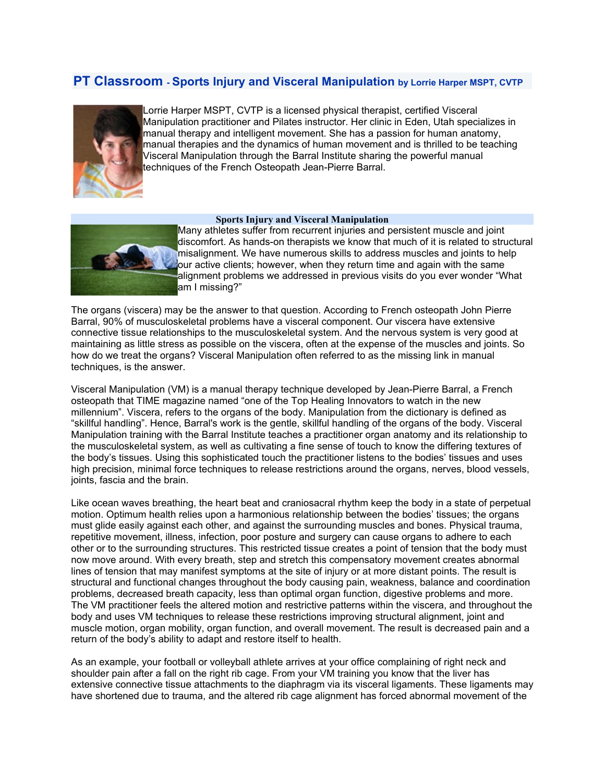## **PT Classroom - Sports Injury and Visceral Manipulation by Lorrie Harper MSPT, CVTP**



Lorrie Harper MSPT, CVTP is a licensed physical therapist, certified Visceral Manipulation practitioner and Pilates instructor. Her clinic in Eden, Utah specializes in manual therapy and intelligent movement. She has a passion for human anatomy, manual therapies and the dynamics of human movement and is thrilled to be teaching Visceral Manipulation through the Barral Institute sharing the powerful manual techniques of the French Osteopath Jean-Pierre Barral.

## **Sports Injury and Visceral Manipulation**

Many athletes suffer from recurrent injuries and persistent muscle and joint discomfort. As hands-on therapists we know that much of it is related to structural misalignment. We have numerous skills to address muscles and joints to help our active clients; however, when they return time and again with the same alignment problems we addressed in previous visits do you ever wonder "What am I missing?"

The organs (viscera) may be the answer to that question. According to French osteopath John Pierre Barral, 90% of musculoskeletal problems have a visceral component. Our viscera have extensive connective tissue relationships to the musculoskeletal system. And the nervous system is very good at maintaining as little stress as possible on the viscera, often at the expense of the muscles and joints. So how do we treat the organs? Visceral Manipulation often referred to as the missing link in manual techniques, is the answer.

Visceral Manipulation (VM) is a manual therapy technique developed by Jean-Pierre Barral, a French osteopath that TIME magazine named "one of the Top Healing Innovators to watch in the new millennium". Viscera, refers to the organs of the body. Manipulation from the dictionary is defined as "skillful handling". Hence, Barral's work is the gentle, skillful handling of the organs of the body. Visceral Manipulation training with the Barral Institute teaches a practitioner organ anatomy and its relationship to the musculoskeletal system, as well as cultivating a fine sense of touch to know the differing textures of the body's tissues. Using this sophisticated touch the practitioner listens to the bodies' tissues and uses high precision, minimal force techniques to release restrictions around the organs, nerves, blood vessels, joints, fascia and the brain.

Like ocean waves breathing, the heart beat and craniosacral rhythm keep the body in a state of perpetual motion. Optimum health relies upon a harmonious relationship between the bodies' tissues; the organs must glide easily against each other, and against the surrounding muscles and bones. Physical trauma, repetitive movement, illness, infection, poor posture and surgery can cause organs to adhere to each other or to the surrounding structures. This restricted tissue creates a point of tension that the body must now move around. With every breath, step and stretch this compensatory movement creates abnormal lines of tension that may manifest symptoms at the site of injury or at more distant points. The result is structural and functional changes throughout the body causing pain, weakness, balance and coordination problems, decreased breath capacity, less than optimal organ function, digestive problems and more. The VM practitioner feels the altered motion and restrictive patterns within the viscera, and throughout the body and uses VM techniques to release these restrictions improving structural alignment, joint and muscle motion, organ mobility, organ function, and overall movement. The result is decreased pain and a return of the body's ability to adapt and restore itself to health.

As an example, your football or volleyball athlete arrives at your office complaining of right neck and shoulder pain after a fall on the right rib cage. From your VM training you know that the liver has extensive connective tissue attachments to the diaphragm via its visceral ligaments. These ligaments may have shortened due to trauma, and the altered rib cage alignment has forced abnormal movement of the